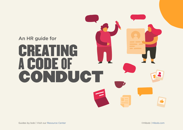# An HR guide for CREATING A CODE OF CONDUCT  $\mathbf{r}$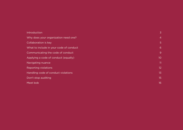| Introduction                            | 3              |
|-----------------------------------------|----------------|
| Why does your organization need one?    | $\overline{4}$ |
| Collaboration is key                    | 5              |
| What to include in your code of conduct | 6              |
| Communicating the code of conduct       | 9              |
| Applying a code of conduct (equally)    | 10             |
| Navigating nuance                       | 11             |
| Reporting violations                    | 12             |
| Handling code of conduct violations     | 13             |
| Don't stop auditing                     | 15             |
| Meet bob                                | 16             |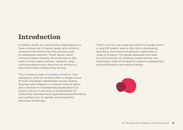# <span id="page-2-0"></span>Introduction

In today's world, it's common for organizations to have a unique set of values, goals, and common practices that inform how the company and its employees function. These values, when communicated correctly, drive the day-to-day work of every team member. However, when communicated poorly, they end up sitting in a document rarely looked at by anyone.

This is where a code of conduct comes in. Your company's code of conduct offers a single source of truth and keeps stakeholders across diverse business units aligned in a shared vision of ethics and compliance—empowering organizations to build a culture. It also acts as a benchmark for measuring individual and organizational performance and outlines how to identify and respond to personnel challenges.

That's a lot for one single document to handle, which is why HR leaders have a vital role in developing, launching, and communicating an organization's code of conduct. This guide addresses the need for (and process of) creating, implementing, and enforcing a code of conduct to improve engagement and performance and reduce liability.

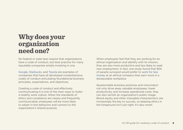### <span id="page-3-0"></span>Why does your organization need one?

No federal or state laws require that organizations have a code of conduct, but best practice for many reputable companies entails investing in one.

Google, Starbucks, and [Toyota](https://www.toyota-global.com/pages/contents/company/vision_philosophy/pdf/code_of_conduct.pdf) are examples of companies that have all developed comprehensive codes of conduct articulating foundational business principles, expectations, and objectives.

Creating a code of conduct and effectively communicating it is one of the main ways to foster a healthy work culture. When the standards of ethics and compliance are clearly and frequently communicated, employees will be more likely to adopt in-line behaviors and connect to the organization's shared purpose.

When employees feel that they are working for an ethical organization and identify with its mission. they are also more productive and less likely to seek new employment. In fact, one study found that 82% of people surveyed would prefer to work for less [money](https://assets.hcca-info.org/Portals/0/PDFs/Resources/library/EmployeeEngagement_LRN.pdf) at an ethical company than earn more in a disreputable workplace.

Questionable business practices and misconduct not only drive away valuable employees, lower productivity, and increase operational costs, they can also tarnish an organization's public image. Brand equity and other intangible characteristics are increasingly the key to success, so keeping ethics in the foreground isn't just right; it's also smart.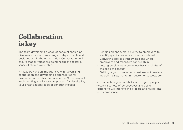# <span id="page-4-0"></span> Collaboration is key

The team developing a code of conduct should be diverse and come from a range of departments and positions within the organization. Collaboration will ensure that all voices are being heard and foster a sense of shared ownership.

HR leaders have an important role in galvanizing cooperation and developing opportunities for diverse team members to collaborate. Some ways of implementing a collaborative process for developing vour organization's code of conduct include:

- Sending an anonymous survey to employees to identify specific areas of concern or interest
- Convening shared strategy sessions where employees and managers can weigh in
- Letting employees provide feedback on drafts of the code of conduct
- Getting buy-in from various business unit leaders. including sales, marketing, customer success, etc.

No matter how you decide to loop in your people, getting a variety of perspectives and being responsive will improve the process and foster long-<br>term compliance.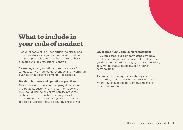# <span id="page-5-0"></span>What to include in your code of conduct

A code of conduct is an opportunity to clarify and communicate your organization's mission, values. and principles. It is also a mechanism to set basic expectations for professional behavior.

Depending on organizational needs, a code of conduct can be more comprehensive and incorporate a variety of important elements. For example:

#### **Standard business and operational practices**

These pertain to how your company does business and treats its customers, investors, or suppliers. This should include any sustainability practices or standards, financial transparency, social commitments, and corporate governance where applicable. Basically, this is about business ethics.

#### **Equal opportunity employment statement**

This states that your company stands by equal employment regardless of race, color, religion, sex. gender identity, national origin, sexual orientation. age, marital status, disability, or any other personal traits.

A commitment to equal opportunity involves committing to an accessible workplace. This is where you should outline what this means for vour organization.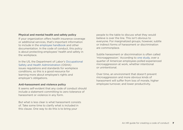#### **Physical and mental health and safety policy**

If your organization offers health insurance coverage or additional services, that's important information to include in the employee handbook and other documentation. In the code of conduct, this policy is about protecting employees' health and safety in the workplace.

In the US, the Department of Labor's Occupational Safety and Health Administration (OSHA) issues regulations and standards for workplace conditions, so this is a good resource for learning more about employee's rights and employer's obligations.

#### **Anti-harassment and violence policy**

It seems self-evident that any code of conduct should include a statement committing to zero tolerance of harassment or violence in any form.

But what is less clear is what harassment consists of. Take some time to clarify what is included in this clause. One way to do this is to bring your

people to the table to discuss what they would believe is over the line. This isn't obvious to everyone. For marginalized groups, however, subtle or indirect forms of harassment or discrimination are commonplace.

Subtle harassment or discrimination is often called 'microaggression.' According to one study, over a quarter of American employees polled experienced microaggression at work, whether intentional or unintentional.

Over time, an environment that doesn't prevent microaggression and more obvious kinds of harassment will suffer from loss of morale, higher employee turnover, and lower productivity.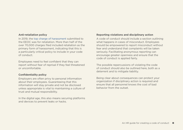#### **Anti-retaliation policy**

In 2019, the top charge of harassment submitted to the EEOC was for retaliation. More than half of the over 70,000 charges filed included retaliation as the primary form of harassment, indicating that this is a particularly critical policy to include in your code of conduct.

Employees need to feel confident that they can report without fear of reprisal if they feel threatened or uncomfortable.

#### **Confidentiality policy**

Employers are often privy to personal information about their employees. Guaranteeing that this information will stay private and not be disclosed unless appropriate is vital to maintaining a culture of trust and mutual responsibility.

In the digital age, this also means securing platforms and devices to prevent leaks or hacks.

#### **Reporting violations and disciplinary action**

A code of conduct should include a section outlining what happens in cases of misconduct. Employees should be empowered to report misconduct without fear and understand that complaints will be taken seriously. Facilitating anonymous reporting can encourage greater openness and ensure that the code of conduct is applied fairly.

The possible repercussions of violating the code of conduct should also be outlined here, both as a deterrent and to mitigate liability.

Being clear about consequences can protect your organization if disciplinary action is required and ensure that all personnel knows the cost of bad behavior from the outset.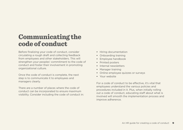# <span id="page-8-0"></span>**Communicating the** code of conduct

Before finalizing your code of conduct, consider circulating a rough draft and collecting feedback from employees and other stakeholders. This will strengthen your peoples' commitment to the code of conduct and foster their involvement in promoting organizational culture.

Once the code of conduct is complete, the next step is to communicate it to employees and managers clearly.

There are a number of places where the code of conduct can be incorporated to ensure maximum visibility. Consider including the code of conduct in:

- Hiring documentation
- Onboarding training
- Employee handbook
- Printed posters
- Internal newsletters
- Manager training
- Online employee quizzes or surveys
- Your website

For a code of conduct to be effective, it's vital that employees understand the various policies and procedures included in it. Plus, when initially rolling out a code of conduct, educating staff about what is involved will smooth the implementation process and improve adherence.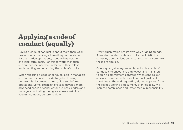# <span id="page-9-0"></span>Applying a code of conduct (equally)

Having a code of conduct is about more than legal protection or checking a box-it lays a foundation for day-to-day operations, standard expectations. and long-term goals. For this to work, managers and supervisors need to understand their role in implementing and enforcing the code of conduct.

When releasing a code of conduct, loop in managers and supervisors and provide targeted training on how this document should guide and inform operations. Some organizations also develop more advanced codes of conduct for business leaders and managers, indicating their greater responsibility for keeping company culture healthy.

Every organization has its own way of doing things. A well-formulated code of conduct will distill the company's core values and clearly communicate how these are applied.

One way to get everyone on board with a code of conduct is to encourage employees and managers to sign a commitment contract. When sending out a newly implemented code of conduct, just add a short line at the end requesting signed approval from the reader. Signing a document, even digitally, will increase compliance and foster mutual responsibility.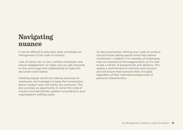# <span id="page-10-0"></span> Navigating nuance

It can be difficult to articulate what constitutes an infringement of the code of conduct.

Lack of clarity can, in turn, confuse employees and reduce engagement, so make sure you get everyone on the same page and collaborating to make this document work harder.

Initiating regular sensitivity training exercises for employees and managers to keep the conversation about conduct open will clarify any confusion. This also provides an opportunity to revisit the code of conduct and periodically update it according to your organization's shifting needs.

As discussed earlier, refining your code of conduct should involve asking people what they believe constitutes a violation. For example, all employees may not experience microaggressions, so it's vital to get a variety of perspectives and opinions. This signals a commitment to diversity and inclusion and will ensure that everyone feels included. regardless of their individual backgrounds or personal characteristics.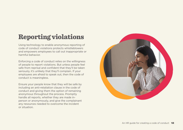# <span id="page-11-0"></span>**Reporting violations**

Using technology to enable anonymous reporting of code of conduct violations protects whistleblowers and empowers employees to call out inappropriate or harmful behavior.

Enforcing a code of conduct relies on the willingness of people to report violations. But unless people feel safe from reprisal and confident that they'll be taken seriously, it's unlikely that they'll complain. If your employees are afraid to speak out, then the code of conduct is meaningless.

Ensure your people know that they will be safe by including an anti-retaliation clause in the code of conduct and giving them the option of remaining anonymous throughout the process. Promptly person or anonymously, and give the complainant handle all reports, whether they are made inany resources needed to overcome the incident or situation.

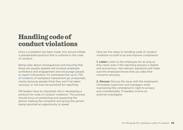# <span id="page-12-0"></span>**Handling code of** conduct violations

Once a complaint has been made, this should initiate a standardized protocol that is outlined in the code of conduct.

Being clear about consequences and ensuring that these are equally applied will increase employee confidence and engagement and encourage people to report misconduct. It's estimated that up to 75% of [incidents of](https://www.vox.com/identities/2017/10/15/16438750/weinstein-sexual-harassment-facts) workplace harassment go unreported. mainly because people think they won't be taken seriously or will even be punished for reporting.

HR leaders have an important role in developing a protocol for code of conduct violations. This process should focus on protecting and respecting the person making the complaint and giving the person being reported an opportunity to speak.

Here are five steps to handling code of conduct violations to build trust and improve compliance:

**1. Listen:** Listen to the employee for as long as they need, even if the reporting process is digital and anonymous. Ask relevant questions and make sure the employee knows that you take their concerns seriously.

**2. Discuss:** Discuss the issue with the employee's immediate supervisor and managers while maintaining the complainant's right to privacy and confidentiality. If needed, involve an external investigator.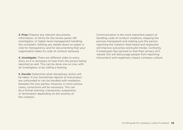**3. Prep:** Prepare any relevant documents. information, or forms for the review panel, HR investigator, or higher-level management handling the complaint. Getting any details down on paper is vital for transparency and for documenting that vour organization takes its code of conduct seriously.

4. Investigate: There are different sides to every story, so it is necessary to hear from the person being reported as well. This can be done one on one, with an investigator, or by calling a hearing.

**5. Decide:** Determine what disciplinary action will be taken, if any. Sometimes reports of misconduct are unfounded or can be handled with mediation between the two parties. However, in more serious cases, corrections will be necessary. This can be a formal warning, a temporary suspension. or termination depending on the severity of the violation.

Communication is the most important aspect of handling code of conduct violations. Keeping the process transparent and making sure the person reporting the violation feels heard and respected will improve outcomes and build morale. Contrarily, if employees feel ignored or that their privacy isn't valued, this will discourage people from reporting misconduct and negatively impact company culture.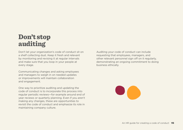## <span id="page-14-0"></span>Don't stop auditing

Don't let your organization's code of conduct sit on a shelf collecting dust. Keep it fresh and relevant by monitoring and revising it at regular intervals and make sure that you loop in your people at every stage.

Communicating changes and asking employees and managers to weigh in on needed updates or improvements will maintain collaboration and engagement.

One way to prioritize auditing and updating the code of conduct is to incorporate this process into regular periodic reviews - for example around end of year reviews or quarterly planning. Even if you aren't making any changes, these are opportunities to revisit the code of conduct and emphasize its role in maintaining company culture.

Auditing your code of conduct can include requesting that employees, managers, and other relevant personnel sign off on it regularly. demonstrating an ongoing commitment to doing business ethically.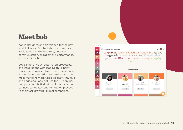### <span id="page-15-0"></span>**Meet** bob

bob is designed and developed for the new world of work. Onsite, hybrid, and remote HR leaders can drive culture, two-way communication, engagement, performance, and compensation.

bob's innovative UI, automated processes, and integrations with leading third-party tools ease administrative tasks for everyone across the organization and make even the most mundane work tasks pleasant, intuitive and engaging—and not just for HR admins. bob puts people first with culture tools that connect co-located and remote employees to their fast-growing, global companies.